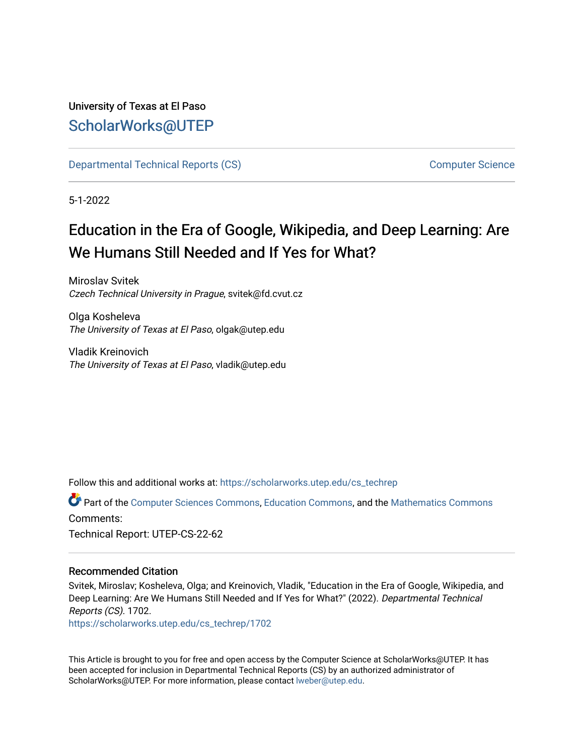### University of Texas at El Paso [ScholarWorks@UTEP](https://scholarworks.utep.edu/)

[Departmental Technical Reports \(CS\)](https://scholarworks.utep.edu/cs_techrep) [Computer Science](https://scholarworks.utep.edu/computer) 

5-1-2022

# Education in the Era of Google, Wikipedia, and Deep Learning: Are We Humans Still Needed and If Yes for What?

Miroslav Svitek Czech Technical University in Prague, svitek@fd.cvut.cz

Olga Kosheleva The University of Texas at El Paso, olgak@utep.edu

Vladik Kreinovich The University of Texas at El Paso, vladik@utep.edu

Follow this and additional works at: [https://scholarworks.utep.edu/cs\\_techrep](https://scholarworks.utep.edu/cs_techrep?utm_source=scholarworks.utep.edu%2Fcs_techrep%2F1702&utm_medium=PDF&utm_campaign=PDFCoverPages) 

Part of the [Computer Sciences Commons](https://network.bepress.com/hgg/discipline/142?utm_source=scholarworks.utep.edu%2Fcs_techrep%2F1702&utm_medium=PDF&utm_campaign=PDFCoverPages), [Education Commons,](https://network.bepress.com/hgg/discipline/784?utm_source=scholarworks.utep.edu%2Fcs_techrep%2F1702&utm_medium=PDF&utm_campaign=PDFCoverPages) and the [Mathematics Commons](https://network.bepress.com/hgg/discipline/174?utm_source=scholarworks.utep.edu%2Fcs_techrep%2F1702&utm_medium=PDF&utm_campaign=PDFCoverPages)  Comments: Technical Report: UTEP-CS-22-62

### Recommended Citation

Svitek, Miroslav; Kosheleva, Olga; and Kreinovich, Vladik, "Education in the Era of Google, Wikipedia, and Deep Learning: Are We Humans Still Needed and If Yes for What?" (2022). Departmental Technical Reports (CS). 1702.

[https://scholarworks.utep.edu/cs\\_techrep/1702](https://scholarworks.utep.edu/cs_techrep/1702?utm_source=scholarworks.utep.edu%2Fcs_techrep%2F1702&utm_medium=PDF&utm_campaign=PDFCoverPages) 

This Article is brought to you for free and open access by the Computer Science at ScholarWorks@UTEP. It has been accepted for inclusion in Departmental Technical Reports (CS) by an authorized administrator of ScholarWorks@UTEP. For more information, please contact [lweber@utep.edu](mailto:lweber@utep.edu).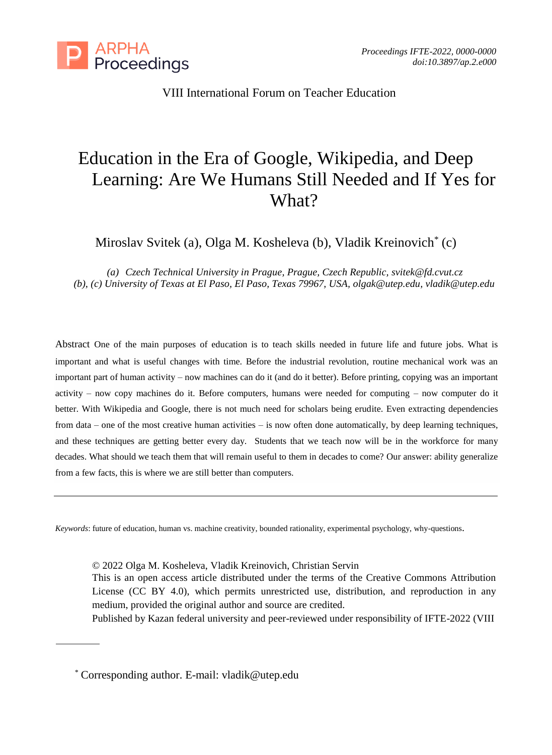

VIII International Forum on Teacher Education

## Education in the Era of Google, Wikipedia, and Deep Learning: Are We Humans Still Needed and If Yes for What?

Miroslav Svitek (a), Olga M. Kosheleva (b), Vladik Kreinovich\* (c)

*(a) Czech Technical University in Prague, Prague, Czech Republic, svitek@fd.cvut.cz (b), (c) University of Texas at El Paso, El Paso, Texas 79967, USA[, olgak@utep.edu,](mailto:olgak@utep.edu) [vladik@utep.edu](mailto:vladik@utep.edu)*

Abstract One of the main purposes of education is to teach skills needed in future life and future jobs. What is important and what is useful changes with time. Before the industrial revolution, routine mechanical work was an important part of human activity – now machines can do it (and do it better). Before printing, copying was an important activity – now copy machines do it. Before computers, humans were needed for computing – now computer do it better. With Wikipedia and Google, there is not much need for scholars being erudite. Even extracting dependencies from data – one of the most creative human activities – is now often done automatically, by deep learning techniques, and these techniques are getting better every day. Students that we teach now will be in the workforce for many decades. What should we teach them that will remain useful to them in decades to come? Our answer: ability generalize from a few facts, this is where we are still better than computers.

*Keywords*: future of education, human vs. machine creativity, bounded rationality, experimental psychology, why-questions.

© 2022 Olga M. Kosheleva, Vladik Kreinovich, Christian Servin This is an open access article distributed under the terms of the Creative Commons Attribution License (CC BY 4.0), which permits unrestricted use, distribution, and reproduction in any medium, provided the original author and source are credited.

Published by Kazan federal university and peer-reviewed under responsibility of IFTE-2022 (VIII

\* Corresponding author. E-mail: vladik@utep.edu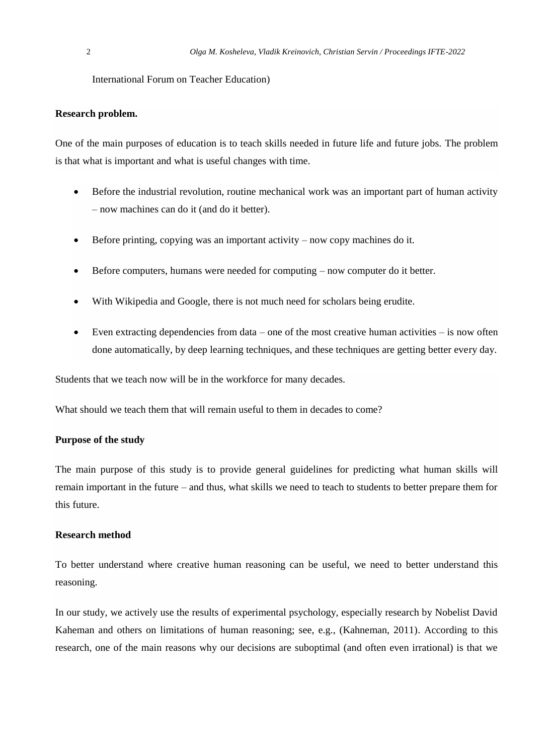International Forum on Teacher Education)

#### **Research problem.**

One of the main purposes of education is to teach skills needed in future life and future jobs. The problem is that what is important and what is useful changes with time.

- Before the industrial revolution, routine mechanical work was an important part of human activity – now machines can do it (and do it better).
- Before printing, copying was an important activity now copy machines do it.
- Before computers, humans were needed for computing now computer do it better.
- With Wikipedia and Google, there is not much need for scholars being erudite.
- Even extracting dependencies from data one of the most creative human activities is now often done automatically, by deep learning techniques, and these techniques are getting better every day.

Students that we teach now will be in the workforce for many decades.

What should we teach them that will remain useful to them in decades to come?

#### **Purpose of the study**

The main purpose of this study is to provide general guidelines for predicting what human skills will remain important in the future – and thus, what skills we need to teach to students to better prepare them for this future.

#### **Research method**

To better understand where creative human reasoning can be useful, we need to better understand this reasoning.

In our study, we actively use the results of experimental psychology, especially research by Nobelist David Kaheman and others on limitations of human reasoning; see, e.g., (Kahneman, 2011). According to this research, one of the main reasons why our decisions are suboptimal (and often even irrational) is that we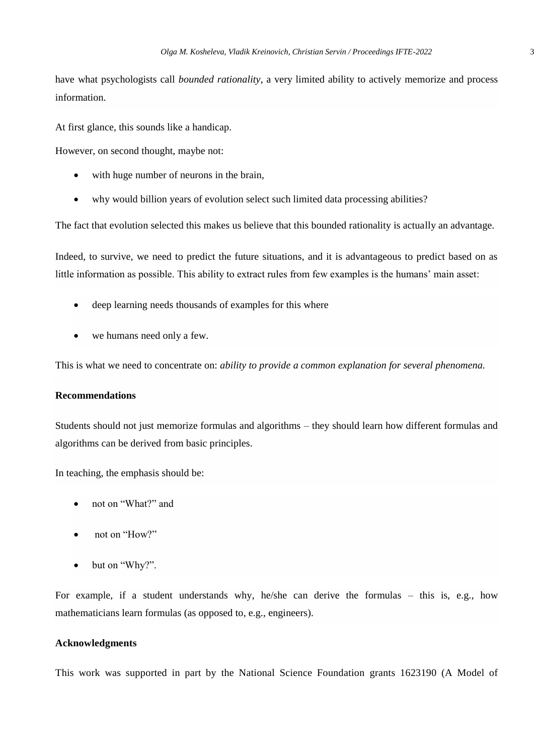have what psychologists call *bounded rationality*, a very limited ability to actively memorize and process information.

At first glance, this sounds like a handicap.

However, on second thought, maybe not:

- with huge number of neurons in the brain,
- why would billion years of evolution select such limited data processing abilities?

The fact that evolution selected this makes us believe that this bounded rationality is actually an advantage.

Indeed, to survive, we need to predict the future situations, and it is advantageous to predict based on as little information as possible. This ability to extract rules from few examples is the humans' main asset:

- deep learning needs thousands of examples for this where
- we humans need only a few.

This is what we need to concentrate on: *ability to provide a common explanation for several phenomena.* 

#### **Recommendations**

Students should not just memorize formulas and algorithms – they should learn how different formulas and algorithms can be derived from basic principles.

In teaching, the emphasis should be:

- not on "What?" and
- not on "How?"
- but on "Why?".

For example, if a student understands why, he/she can derive the formulas – this is, e.g., how mathematicians learn formulas (as opposed to, e.g., engineers).

#### **Acknowledgments**

This work was supported in part by the National Science Foundation grants 1623190 (A Model of